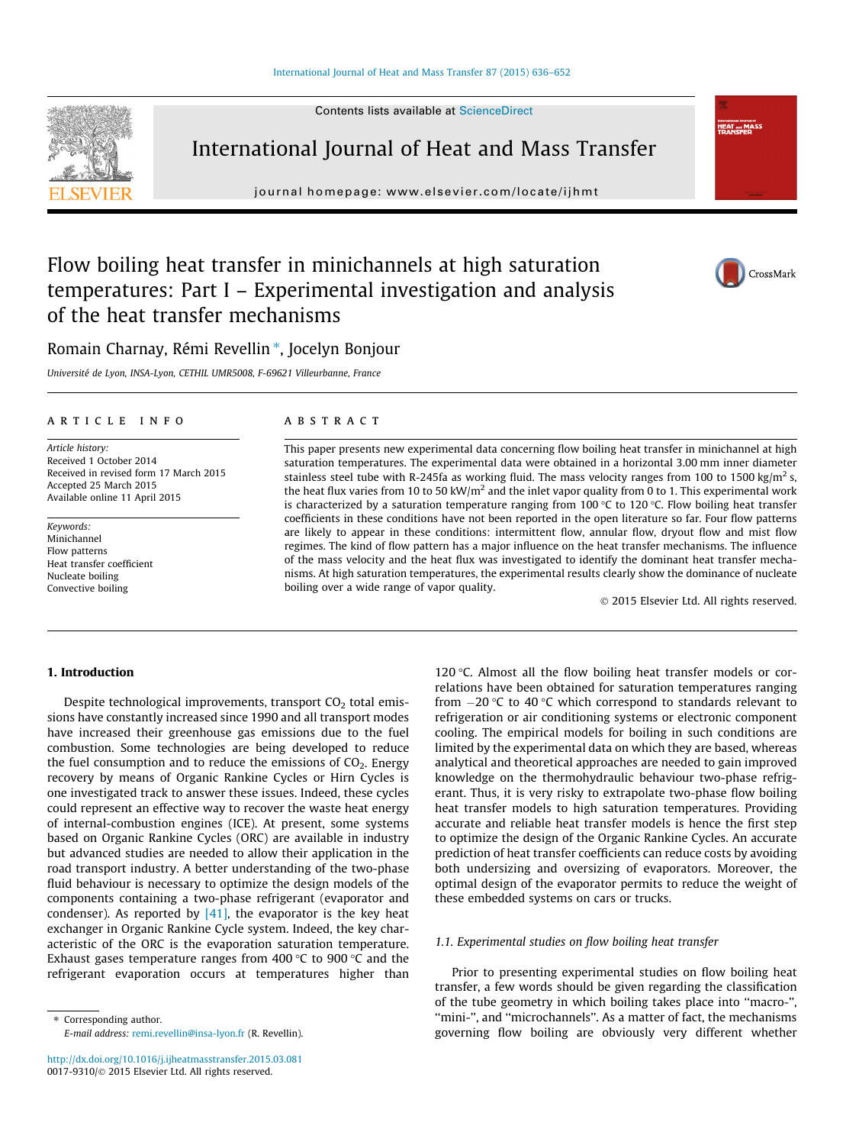Contents lists available at [ScienceDirect](http://www.sciencedirect.com/science/journal/00179310)



International Journal of Heat and Mass Transfer

journal homepage: [www.elsevier.com/locate/ijhmt](http://www.elsevier.com/locate/ijhmt)

# Flow boiling heat transfer in minichannels at high saturation temperatures: Part I – Experimental investigation and analysis of the heat transfer mechanisms



**Informational Journal**<br>HEAT and M<br>TDANCEEE

Romain Charnay, Rémi Revellin \*, Jocelyn Bonjour

Université de Lyon, INSA-Lyon, CETHIL UMR5008, F-69621 Villeurbanne, France

## article info

Article history: Received 1 October 2014 Received in revised form 17 March 2015 Accepted 25 March 2015 Available online 11 April 2015

Keywords: Minichannel Flow patterns Heat transfer coefficient Nucleate boiling Convective boiling

#### **ABSTRACT**

This paper presents new experimental data concerning flow boiling heat transfer in minichannel at high saturation temperatures. The experimental data were obtained in a horizontal 3.00 mm inner diameter stainless steel tube with R-245fa as working fluid. The mass velocity ranges from 100 to 1500 kg/m<sup>2</sup> s, the heat flux varies from 10 to 50 kW/ $m<sup>2</sup>$  and the inlet vapor quality from 0 to 1. This experimental work is characterized by a saturation temperature ranging from 100 °C to 120 °C. Flow boiling heat transfer coefficients in these conditions have not been reported in the open literature so far. Four flow patterns are likely to appear in these conditions: intermittent flow, annular flow, dryout flow and mist flow regimes. The kind of flow pattern has a major influence on the heat transfer mechanisms. The influence of the mass velocity and the heat flux was investigated to identify the dominant heat transfer mechanisms. At high saturation temperatures, the experimental results clearly show the dominance of nucleate boiling over a wide range of vapor quality.

2015 Elsevier Ltd. All rights reserved.

## 1. Introduction

Despite technological improvements, transport  $CO<sub>2</sub>$  total emissions have constantly increased since 1990 and all transport modes have increased their greenhouse gas emissions due to the fuel combustion. Some technologies are being developed to reduce the fuel consumption and to reduce the emissions of  $CO<sub>2</sub>$ . Energy recovery by means of Organic Rankine Cycles or Hirn Cycles is one investigated track to answer these issues. Indeed, these cycles could represent an effective way to recover the waste heat energy of internal-combustion engines (ICE). At present, some systems based on Organic Rankine Cycles (ORC) are available in industry but advanced studies are needed to allow their application in the road transport industry. A better understanding of the two-phase fluid behaviour is necessary to optimize the design models of the components containing a two-phase refrigerant (evaporator and condenser). As reported by  $[41]$ , the evaporator is the key heat exchanger in Organic Rankine Cycle system. Indeed, the key characteristic of the ORC is the evaporation saturation temperature. Exhaust gases temperature ranges from 400 °C to 900 °C and the refrigerant evaporation occurs at temperatures higher than 120  $\degree$ C. Almost all the flow boiling heat transfer models or correlations have been obtained for saturation temperatures ranging from  $-20$  °C to 40 °C which correspond to standards relevant to refrigeration or air conditioning systems or electronic component cooling. The empirical models for boiling in such conditions are limited by the experimental data on which they are based, whereas analytical and theoretical approaches are needed to gain improved knowledge on the thermohydraulic behaviour two-phase refrigerant. Thus, it is very risky to extrapolate two-phase flow boiling heat transfer models to high saturation temperatures. Providing accurate and reliable heat transfer models is hence the first step to optimize the design of the Organic Rankine Cycles. An accurate prediction of heat transfer coefficients can reduce costs by avoiding both undersizing and oversizing of evaporators. Moreover, the optimal design of the evaporator permits to reduce the weight of these embedded systems on cars or trucks.

## 1.1. Experimental studies on flow boiling heat transfer

Prior to presenting experimental studies on flow boiling heat transfer, a few words should be given regarding the classification of the tube geometry in which boiling takes place into ''macro-'', ''mini-'', and ''microchannels''. As a matter of fact, the mechanisms governing flow boiling are obviously very different whether

<sup>⇑</sup> Corresponding author. E-mail address: [remi.revellin@insa-lyon.fr](mailto:remi.revellin@insa-lyon.fr) (R. Revellin).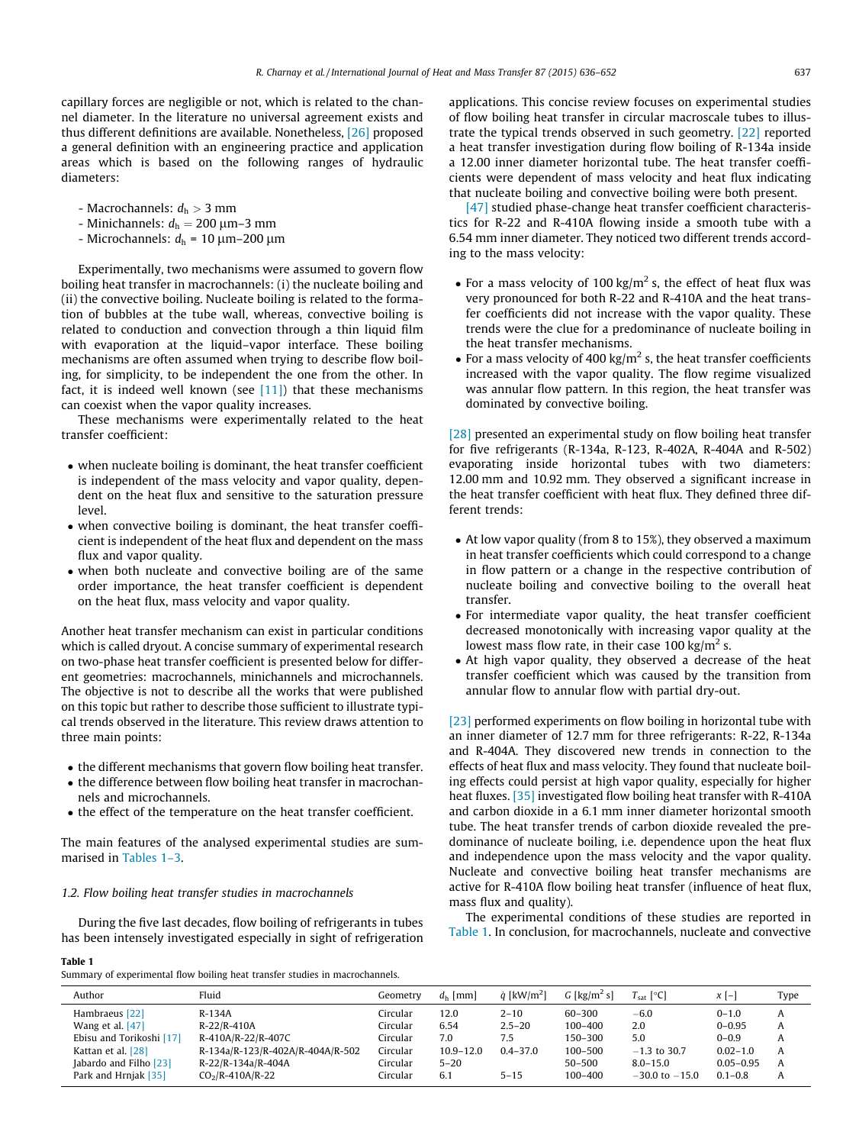capillary forces are negligible or not, which is related to the channel diameter. In the literature no universal agreement exists and thus different definitions are available. Nonetheless, [\[26\]](#page--1-0) proposed a general definition with an engineering practice and application areas which is based on the following ranges of hydraulic diameters:

- Macrochannels:  $d_h > 3$  mm
- Minichannels:  $d_h = 200 \mu m 3 \mu m$
- Microchannels:  $d_h$  = 10  $\mu$ m–200  $\mu$ m

Experimentally, two mechanisms were assumed to govern flow boiling heat transfer in macrochannels: (i) the nucleate boiling and (ii) the convective boiling. Nucleate boiling is related to the formation of bubbles at the tube wall, whereas, convective boiling is related to conduction and convection through a thin liquid film with evaporation at the liquid–vapor interface. These boiling mechanisms are often assumed when trying to describe flow boiling, for simplicity, to be independent the one from the other. In fact, it is indeed well known (see  $[11]$ ) that these mechanisms can coexist when the vapor quality increases.

These mechanisms were experimentally related to the heat transfer coefficient:

- when nucleate boiling is dominant, the heat transfer coefficient is independent of the mass velocity and vapor quality, dependent on the heat flux and sensitive to the saturation pressure level.
- when convective boiling is dominant, the heat transfer coefficient is independent of the heat flux and dependent on the mass flux and vapor quality.
- when both nucleate and convective boiling are of the same order importance, the heat transfer coefficient is dependent on the heat flux, mass velocity and vapor quality.

Another heat transfer mechanism can exist in particular conditions which is called dryout. A concise summary of experimental research on two-phase heat transfer coefficient is presented below for different geometries: macrochannels, minichannels and microchannels. The objective is not to describe all the works that were published on this topic but rather to describe those sufficient to illustrate typical trends observed in the literature. This review draws attention to three main points:

- the different mechanisms that govern flow boiling heat transfer.
- the difference between flow boiling heat transfer in macrochannels and microchannels.
- the effect of the temperature on the heat transfer coefficient.

The main features of the analysed experimental studies are summarised in Tables 1–3.

## 1.2. Flow boiling heat transfer studies in macrochannels

During the five last decades, flow boiling of refrigerants in tubes has been intensely investigated especially in sight of refrigeration

Table 1

Summary of experimental flow boiling heat transfer studies in macrochannels.

applications. This concise review focuses on experimental studies of flow boiling heat transfer in circular macroscale tubes to illustrate the typical trends observed in such geometry. [\[22\]](#page--1-0) reported a heat transfer investigation during flow boiling of R-134a inside a 12.00 inner diameter horizontal tube. The heat transfer coefficients were dependent of mass velocity and heat flux indicating that nucleate boiling and convective boiling were both present.

[\[47\]](#page--1-0) studied phase-change heat transfer coefficient characteristics for R-22 and R-410A flowing inside a smooth tube with a 6.54 mm inner diameter. They noticed two different trends according to the mass velocity:

- For a mass velocity of 100 kg/m<sup>2</sup> s, the effect of heat flux was very pronounced for both R-22 and R-410A and the heat transfer coefficients did not increase with the vapor quality. These trends were the clue for a predominance of nucleate boiling in the heat transfer mechanisms.
- For a mass velocity of 400 kg/m<sup>2</sup> s, the heat transfer coefficients increased with the vapor quality. The flow regime visualized was annular flow pattern. In this region, the heat transfer was dominated by convective boiling.

[\[28\]](#page--1-0) presented an experimental study on flow boiling heat transfer for five refrigerants (R-134a, R-123, R-402A, R-404A and R-502) evaporating inside horizontal tubes with two diameters: 12.00 mm and 10.92 mm. They observed a significant increase in the heat transfer coefficient with heat flux. They defined three different trends:

- At low vapor quality (from 8 to 15%), they observed a maximum in heat transfer coefficients which could correspond to a change in flow pattern or a change in the respective contribution of nucleate boiling and convective boiling to the overall heat transfer.
- For intermediate vapor quality, the heat transfer coefficient decreased monotonically with increasing vapor quality at the lowest mass flow rate, in their case 100 kg/m<sup>2</sup> s.
- At high vapor quality, they observed a decrease of the heat transfer coefficient which was caused by the transition from annular flow to annular flow with partial dry-out.

[\[23\]](#page--1-0) performed experiments on flow boiling in horizontal tube with an inner diameter of 12.7 mm for three refrigerants: R-22, R-134a and R-404A. They discovered new trends in connection to the effects of heat flux and mass velocity. They found that nucleate boiling effects could persist at high vapor quality, especially for higher heat fluxes. [\[35\]](#page--1-0) investigated flow boiling heat transfer with R-410A and carbon dioxide in a 6.1 mm inner diameter horizontal smooth tube. The heat transfer trends of carbon dioxide revealed the predominance of nucleate boiling, i.e. dependence upon the heat flux and independence upon the mass velocity and the vapor quality. Nucleate and convective boiling heat transfer mechanisms are active for R-410A flow boiling heat transfer (influence of heat flux, mass flux and quality).

The experimental conditions of these studies are reported in Table 1. In conclusion, for macrochannels, nucleate and convective

| Author                   | Fluid                            | Geometrv | $dh$ [mm]     | $\dot{a}$ [kW/m <sup>2</sup> ] | G [kg/m <sup>2</sup> s] | $T_{\text{sat}}$ [°C] | $x$ [-]       | Type |
|--------------------------|----------------------------------|----------|---------------|--------------------------------|-------------------------|-----------------------|---------------|------|
| Hambraeus [22]           | R-134A                           | Circular | 12.0          | $2 - 10$                       | 60-300                  | $-6.0$                | $0 - 1.0$     | A    |
| Wang et al. $[47]$       | $R-22/R-410A$                    | Circular | 6.54          | $2.5 - 20$                     | 100-400                 | 2.0                   | $0 - 0.95$    | A    |
| Ebisu and Torikoshi [17] | R-410A/R-22/R-407C               | Circular | 7.0           | 7.5                            | 150–300                 | 5.0                   | $0 - 0.9$     | A    |
| Kattan et al. [28]       | R-134a/R-123/R-402A/R-404A/R-502 | Circular | $10.9 - 12.0$ | $0.4 - 37.0$                   | 100-500                 | $-1.3$ to 30.7        | $0.02 - 1.0$  | A    |
| Jabardo and Filho [23]   | R-22/R-134a/R-404A               | Circular | $5 - 20$      |                                | 50-500                  | $8.0 - 15.0$          | $0.05 - 0.95$ | A    |
| Park and Hrnjak [35]     | $CO2/R-410A/R-22$                | Circular | 6.1           | $5 - 15$                       | 100-400                 | $-30.0$ to $-15.0$    | $0.1 - 0.8$   | A    |
|                          |                                  |          |               |                                |                         |                       |               |      |